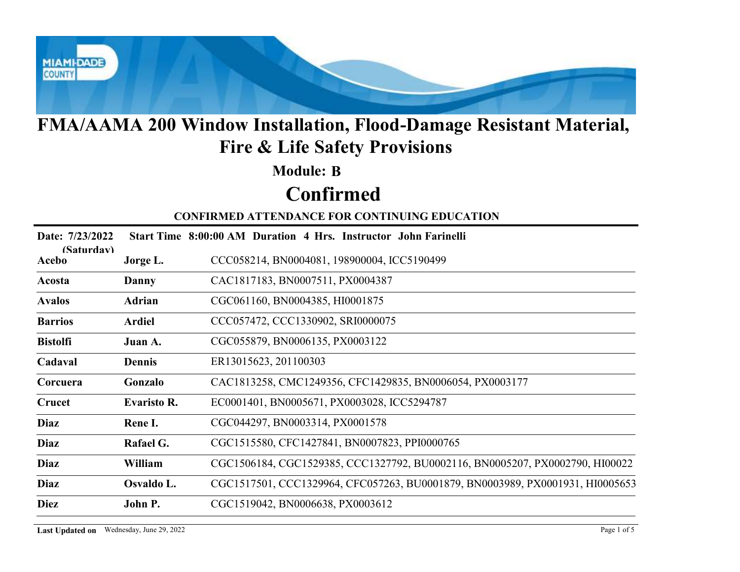

#### Module: B

# Confirmed

|                     |                    | <b>FMA/AAMA 200 Window Installation, Flood-Damage Resistant Material,</b><br><b>Fire &amp; Life Safety Provisions</b> |
|---------------------|--------------------|-----------------------------------------------------------------------------------------------------------------------|
|                     |                    | <b>Module: B</b>                                                                                                      |
|                     |                    | <b>Confirmed</b>                                                                                                      |
|                     |                    | <b>CONFIRMED ATTENDANCE FOR CONTINUING EDUCATION</b>                                                                  |
| Date: 7/23/2022     |                    | Start Time 8:00:00 AM Duration 4 Hrs. Instructor John Farinelli                                                       |
| (Saturdav)<br>Acebo | Jorge L.           | CCC058214, BN0004081, 198900004, ICC5190499                                                                           |
| Acosta              | Danny              | CAC1817183, BN0007511, PX0004387                                                                                      |
| <b>Avalos</b>       | <b>Adrian</b>      | CGC061160, BN0004385, HI0001875                                                                                       |
| <b>Barrios</b>      | <b>Ardiel</b>      | CCC057472, CCC1330902, SRI0000075                                                                                     |
| <b>Bistolfi</b>     | Juan A.            | CGC055879, BN0006135, PX0003122                                                                                       |
| Cadaval             | <b>Dennis</b>      | ER13015623, 201100303                                                                                                 |
| Corcuera            | Gonzalo            | CAC1813258, CMC1249356, CFC1429835, BN0006054, PX0003177                                                              |
| Crucet              | <b>Evaristo R.</b> | EC0001401, BN0005671, PX0003028, ICC5294787                                                                           |
| <b>Diaz</b>         | Rene I.            | CGC044297, BN0003314, PX0001578                                                                                       |
| Diaz                | Rafael G.          | CGC1515580, CFC1427841, BN0007823, PPI0000765                                                                         |
| Diaz                | William            | CGC1506184, CGC1529385, CCC1327792, BU0002116, BN0005207, PX0002790, HI00022                                          |
| Diaz                | Osvaldo L.         | CGC1517501, CCC1329964, CFC057263, BU0001879, BN0003989, PX0001931, HI0005653                                         |
| <b>Diez</b>         | John P.            | CGC1519042, BN0006638, PX0003612                                                                                      |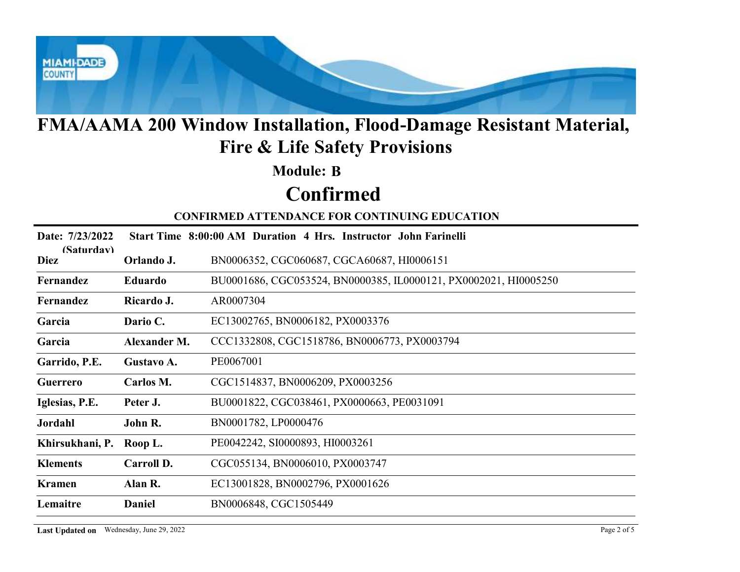

#### Module: B

# Confirmed

|                           |              | FMA/AAMA 200 Window Installation, Flood-Damage Resistant Material,<br><b>Fire &amp; Life Safety Provisions</b> |
|---------------------------|--------------|----------------------------------------------------------------------------------------------------------------|
|                           |              | <b>Module: B</b>                                                                                               |
|                           |              | <b>Confirmed</b>                                                                                               |
|                           |              | <b>CONFIRMED ATTENDANCE FOR CONTINUING EDUCATION</b>                                                           |
| Date: 7/23/2022           |              | Start Time 8:00:00 AM Duration 4 Hrs. Instructor John Farinelli                                                |
| (Saturdav)<br><b>Diez</b> | Orlando J.   | BN0006352, CGC060687, CGCA60687, HI0006151                                                                     |
| Fernandez                 | Eduardo      | BU0001686, CGC053524, BN0000385, IL0000121, PX0002021, HI0005250                                               |
| Fernandez                 | Ricardo J.   | AR0007304                                                                                                      |
| Garcia                    | Dario C.     | EC13002765, BN0006182, PX0003376                                                                               |
| Garcia                    | Alexander M. | CCC1332808, CGC1518786, BN0006773, PX0003794                                                                   |
| Garrido, P.E.             | Gustavo A.   | PE0067001                                                                                                      |
| Guerrero                  | Carlos M.    | CGC1514837, BN0006209, PX0003256                                                                               |
| Iglesias, P.E.            | Peter J.     | BU0001822, CGC038461, PX0000663, PE0031091                                                                     |
| Jordahl                   | John R.      | BN0001782, LP0000476                                                                                           |
| Khirsukhani, P. Roop L.   |              | PE0042242, SI0000893, HI0003261                                                                                |
| <b>Klements</b>           | Carroll D.   | CGC055134, BN0006010, PX0003747                                                                                |
| <b>Kramen</b>             | Alan R.      | EC13001828, BN0002796, PX0001626                                                                               |
| Lemaitre                  | Daniel       | BN0006848, CGC1505449                                                                                          |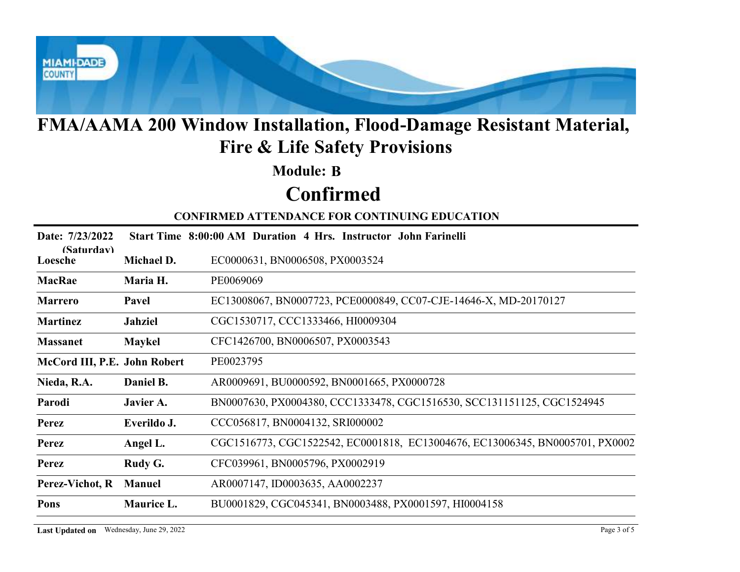

#### Module: B

# Confirmed

|                              |                | <b>FMA/AAMA 200 Window Installation, Flood-Damage Resistant Material,</b><br><b>Fire &amp; Life Safety Provisions</b> |
|------------------------------|----------------|-----------------------------------------------------------------------------------------------------------------------|
|                              |                | <b>Module: B</b>                                                                                                      |
|                              |                | <b>Confirmed</b>                                                                                                      |
|                              |                | <b>CONFIRMED ATTENDANCE FOR CONTINUING EDUCATION</b>                                                                  |
| Date: 7/23/2022              |                | Start Time 8:00:00 AM Duration 4 Hrs. Instructor John Farinelli                                                       |
| (Saturdav)<br>Loesche        | Michael D.     | EC0000631, BN0006508, PX0003524                                                                                       |
| <b>MacRae</b>                | Maria H.       | PE0069069                                                                                                             |
| <b>Marrero</b>               | Pavel          | EC13008067, BN0007723, PCE0000849, CC07-CJE-14646-X, MD-20170127                                                      |
| <b>Martinez</b>              | <b>Jahziel</b> | CGC1530717, CCC1333466, HI0009304                                                                                     |
| <b>Massanet</b>              | <b>Maykel</b>  | CFC1426700, BN0006507, PX0003543                                                                                      |
| McCord III, P.E. John Robert |                | PE0023795                                                                                                             |
| Nieda, R.A.                  | Daniel B.      | AR0009691, BU0000592, BN0001665, PX0000728                                                                            |
| Parodi                       | Javier A.      | BN0007630, PX0004380, CCC1333478, CGC1516530, SCC131151125, CGC1524945                                                |
| <b>Perez</b>                 | Everildo J.    | CCC056817, BN0004132, SRI000002                                                                                       |
| Perez                        | Angel L.       | CGC1516773, CGC1522542, EC0001818, EC13004676, EC13006345, BN0005701, PX0002                                          |
| Perez                        | Rudy G.        | CFC039961, BN0005796, PX0002919                                                                                       |
|                              | <b>Manuel</b>  | AR0007147, ID0003635, AA0002237                                                                                       |
| Perez-Vichot, R              |                |                                                                                                                       |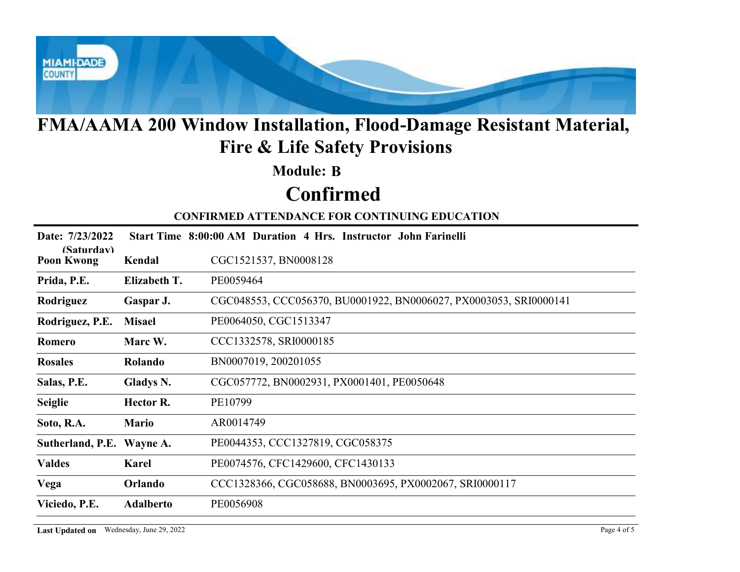

#### Module: B

# Confirmed

|                                 |                                          | <b>FMA/AAMA 200 Window Installation, Flood-Damage Resistant Material,</b><br><b>Fire &amp; Life Safety Provisions</b> |
|---------------------------------|------------------------------------------|-----------------------------------------------------------------------------------------------------------------------|
|                                 |                                          | <b>Module: B</b>                                                                                                      |
|                                 |                                          | <b>Confirmed</b>                                                                                                      |
|                                 |                                          | <b>CONFIRMED ATTENDANCE FOR CONTINUING EDUCATION</b>                                                                  |
| Date: 7/23/2022                 |                                          | Start Time 8:00:00 AM Duration 4 Hrs. Instructor John Farinelli                                                       |
| (Saturdav)<br><b>Poon Kwong</b> | Kendal                                   | CGC1521537, BN0008128                                                                                                 |
| Prida, P.E.                     | Elizabeth T.                             | PE0059464                                                                                                             |
| Rodriguez                       | Gaspar J.                                | CGC048553, CCC056370, BU0001922, BN0006027, PX0003053, SRI0000141                                                     |
| Rodriguez, P.E.                 | <b>Misael</b>                            | PE0064050, CGC1513347                                                                                                 |
| Romero                          | Marc W.                                  | CCC1332578, SRI0000185                                                                                                |
| <b>Rosales</b>                  | Rolando                                  | BN0007019, 200201055                                                                                                  |
| Salas, P.E.                     | Gladys N.                                | CGC057772, BN0002931, PX0001401, PE0050648                                                                            |
| <b>Seiglie</b>                  | Hector R.                                | PE10799                                                                                                               |
| Soto, R.A.                      | <b>Mario</b>                             | AR0014749                                                                                                             |
| Sutherland, P.E. Wayne A.       |                                          | PE0044353, CCC1327819, CGC058375                                                                                      |
| <b>Valdes</b>                   | Karel                                    | PE0074576, CFC1429600, CFC1430133                                                                                     |
| Vega                            | Orlando                                  | CCC1328366, CGC058688, BN0003695, PX0002067, SRI0000117                                                               |
| Viciedo, P.E.                   | <b>Adalberto</b>                         | PE0056908                                                                                                             |
|                                 | Last Updated on Wednesday, June 29, 2022 | Page 4 of 5                                                                                                           |